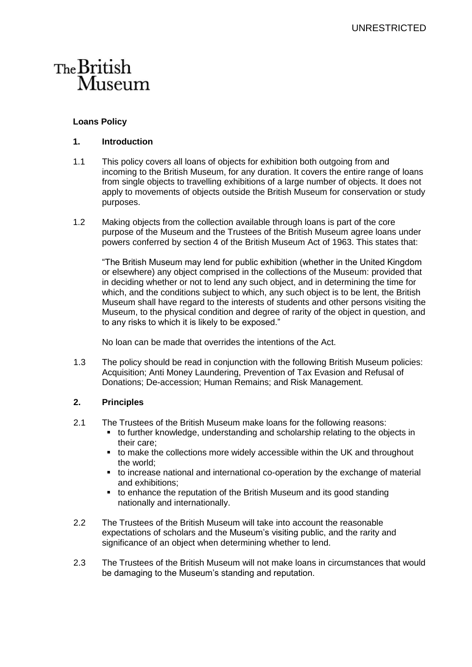## The British Museum

## **Loans Policy**

## **1. Introduction**

- 1.1 This policy covers all loans of objects for exhibition both outgoing from and incoming to the British Museum, for any duration. It covers the entire range of loans from single objects to travelling exhibitions of a large number of objects. It does not apply to movements of objects outside the British Museum for conservation or study purposes.
- 1.2 Making objects from the collection available through loans is part of the core purpose of the Museum and the Trustees of the British Museum agree loans under powers conferred by section 4 of the British Museum Act of 1963. This states that:

"The British Museum may lend for public exhibition (whether in the United Kingdom or elsewhere) any object comprised in the collections of the Museum: provided that in deciding whether or not to lend any such object, and in determining the time for which, and the conditions subject to which, any such object is to be lent, the British Museum shall have regard to the interests of students and other persons visiting the Museum, to the physical condition and degree of rarity of the object in question, and to any risks to which it is likely to be exposed."

No loan can be made that overrides the intentions of the Act.

1.3 The policy should be read in conjunction with the following British Museum policies: Acquisition; Anti Money Laundering, Prevention of Tax Evasion and Refusal of Donations; De-accession; Human Remains; and Risk Management.

## **2. Principles**

- 2.1 The Trustees of the British Museum make loans for the following reasons:
	- to further knowledge, understanding and scholarship relating to the objects in their care;
	- to make the collections more widely accessible within the UK and throughout the world;
	- to increase national and international co-operation by the exchange of material and exhibitions;
	- to enhance the reputation of the British Museum and its good standing nationally and internationally.
- 2.2 The Trustees of the British Museum will take into account the reasonable expectations of scholars and the Museum's visiting public, and the rarity and significance of an object when determining whether to lend.
- 2.3 The Trustees of the British Museum will not make loans in circumstances that would be damaging to the Museum's standing and reputation.